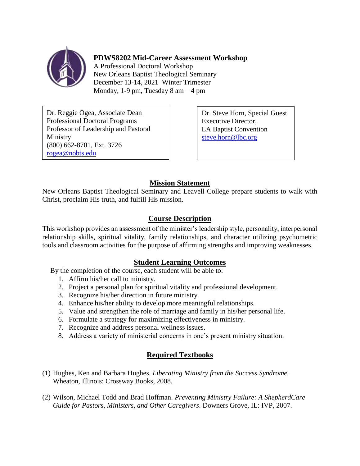

**PDWS8202 Mid-Career Assessment Workshop**

A Professional Doctoral Workshop New Orleans Baptist Theological Seminary December 13-14, 2021 Winter Trimester Monday, 1-9 pm, Tuesday  $8 \text{ am} - 4 \text{ pm}$ 

Dr. Reggie Ogea, Associate Dean Professional Doctoral Programs Professor of Leadership and Pastoral Ministry (800) 662-8701, Ext. 3726 [rogea@nobts.edu](mailto:rogea@nobts.edu)

Dr. Steve Horn, Special Guest Executive Director, LA Baptist Convention [steve.horn@lbc.org](mailto:steve.horn@lbc.org)

# **Mission Statement**

New Orleans Baptist Theological Seminary and Leavell College prepare students to walk with Christ, proclaim His truth, and fulfill His mission.

## **Course Description**

This workshop provides an assessment of the minister's leadership style, personality, interpersonal relationship skills, spiritual vitality, family relationships, and character utilizing psychometric tools and classroom activities for the purpose of affirming strengths and improving weaknesses.

## **Student Learning Outcomes**

By the completion of the course, each student will be able to:

- 1. Affirm his/her call to ministry.
- 2. Project a personal plan for spiritual vitality and professional development.
- 3. Recognize his/her direction in future ministry.
- 4. Enhance his/her ability to develop more meaningful relationships.
- 5. Value and strengthen the role of marriage and family in his/her personal life.
- 6. Formulate a strategy for maximizing effectiveness in ministry.
- 7. Recognize and address personal wellness issues.
- 8. Address a variety of ministerial concerns in one's present ministry situation.

## **Required Textbooks**

- (1) Hughes, Ken and Barbara Hughes. *Liberating Ministry from the Success Syndrome.*  Wheaton, Illinois: Crossway Books, 2008.
- (2) Wilson, Michael Todd and Brad Hoffman. *Preventing Ministry Failure: A ShepherdCare Guide for Pastors, Ministers, and Other Caregivers*. Downers Grove, IL: IVP, 2007.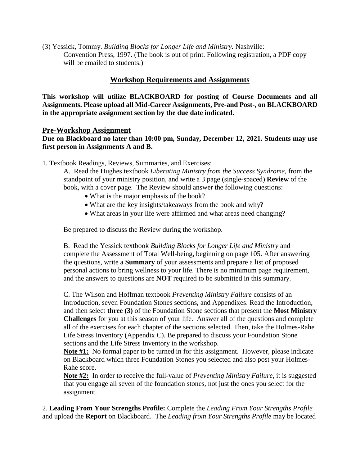(3) Yessick, Tommy. *Building Blocks for Longer Life and Ministry.* Nashville: Convention Press, 1997. (The book is out of print. Following registration, a PDF copy will be emailed to students.)

### **Workshop Requirements and Assignments**

**This workshop will utilize BLACKBOARD for posting of Course Documents and all Assignments. Please upload all Mid-Career Assignments, Pre-and Post-, on BLACKBOARD in the appropriate assignment section by the due date indicated.**

#### **Pre-Workshop Assignment**

**Due on Blackboard no later than 10:00 pm, Sunday, December 12, 2021. Students may use first person in Assignments A and B.** 

1. Textbook Readings, Reviews, Summaries, and Exercises:

A. Read the Hughes textbook *Liberating Ministry from the Success Syndrome,* from the standpoint of your ministry position*,* and write a 3 page (single-spaced) **Review** of the book, with a cover page. The Review should answer the following questions:

- What is the major emphasis of the book?
- What are the key insights/takeaways from the book and why?
- What areas in your life were affirmed and what areas need changing?

Be prepared to discuss the Review during the workshop.

B. Read the Yessick textbook *Building Blocks for Longer Life and Ministry* and complete the Assessment of Total Well-being, beginning on page 105. After answering the questions, write a **Summary** of your assessments and prepare a list of proposed personal actions to bring wellness to your life. There is no minimum page requirement, and the answers to questions are **NOT** required to be submitted in this summary.

C. The Wilson and Hoffman textbook *Preventing Ministry Failure* consists of an Introduction, seven Foundation Stones sections, and Appendixes. Read the Introduction, and then select **three (3)** of the Foundation Stone sections that present the **Most Ministry Challenges** for you at this season of your life. Answer all of the questions and complete all of the exercises for each chapter of the sections selected. Then, take the Holmes-Rahe Life Stress Inventory (Appendix C). Be prepared to discuss your Foundation Stone sections and the Life Stress Inventory in the workshop.

**Note #1:** No formal paper to be turned in for this assignment. However, please indicate on Blackboard which three Foundation Stones you selected and also post your Holmes-Rahe score.

**Note #2:** In order to receive the full-value of *Preventing Ministry Failure*, it is suggested that you engage all seven of the foundation stones, not just the ones you select for the assignment.

2. **Leading From Your Strengths Profile:** Complete the *Leading From Your Strengths Profile* and upload the **Report** on Blackboard. The *Leading from Your Strengths Profile* may be located